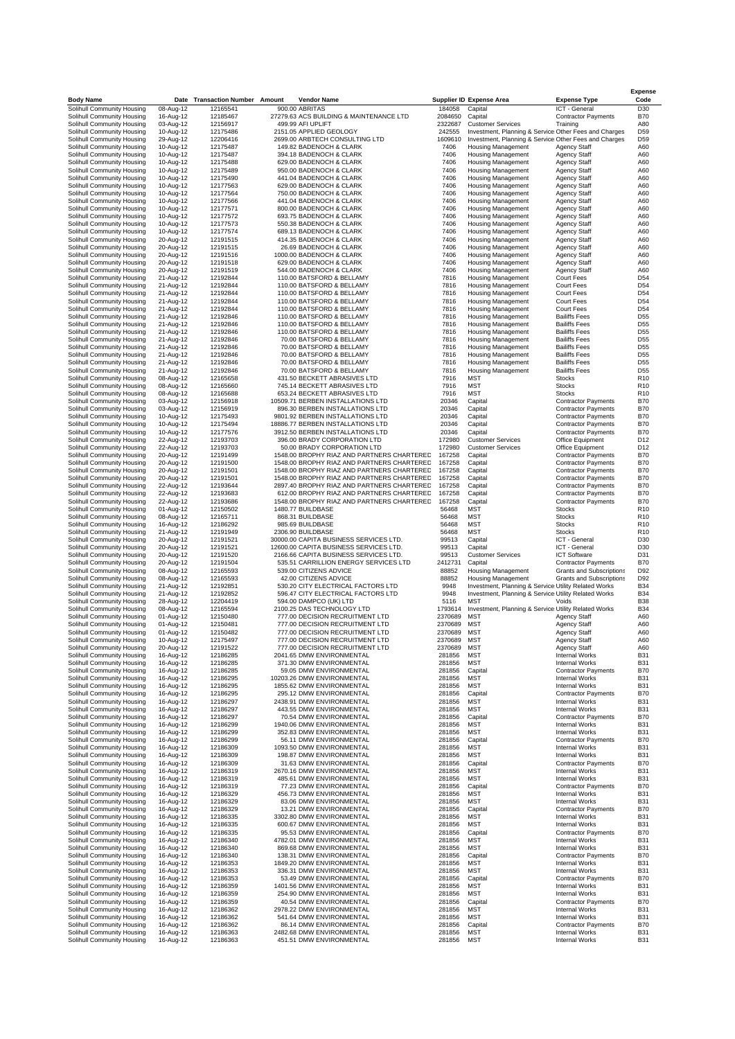|                                                          |                        |                                            |                                                                                          |                    |                                                                                   |                                                                    | <b>Expense</b><br>Code             |
|----------------------------------------------------------|------------------------|--------------------------------------------|------------------------------------------------------------------------------------------|--------------------|-----------------------------------------------------------------------------------|--------------------------------------------------------------------|------------------------------------|
| <b>Body Name</b><br>Solihull Community Housing           | 08-Aug-12              | Date Transaction Number Amount<br>12165541 | <b>Vendor Name</b><br>900.00 ABRITAS                                                     | 184058             | <b>Supplier ID Expense Area</b><br>Capital                                        | <b>Expense Type</b><br>ICT - General                               | D30                                |
| Solihull Community Housing                               | 16-Aug-12              | 12185467                                   | 27279.63 ACS BUILDING & MAINTENANCE LTD                                                  | 2084650            | Capital                                                                           | <b>Contractor Payments</b>                                         | <b>B70</b>                         |
| Solihull Community Housing<br>Solihull Community Housing | 03-Aug-12<br>10-Aug-12 | 12156917<br>12175486                       | 499.99 AFI UPLIFT<br>2151.05 APPLIED GEOLOGY                                             | 2322687<br>242555  | <b>Customer Services</b><br>Investment, Planning & Service Other Fees and Charges | Training                                                           | A80<br>D <sub>59</sub>             |
| Solihull Community Housing                               | 29-Aug-12              | 12206416                                   | 2699.00 ARBTECH CONSULTING LTD                                                           | 1609610            | Investment, Planning & Service Other Fees and Charges                             |                                                                    | D <sub>59</sub>                    |
| Solihull Community Housing<br>Solihull Community Housing | 10-Aug-12<br>10-Aug-12 | 12175487<br>12175487                       | 149.82 BADENOCH & CLARK<br>394.18 BADENOCH & CLARK                                       | 7406<br>7406       | <b>Housing Management</b><br><b>Housing Management</b>                            | <b>Agency Staff</b><br>Agency Staff                                | A60<br>A60                         |
| Solihull Community Housing                               | 10-Aug-12              | 12175488                                   | 629.00 BADENOCH & CLARK                                                                  | 7406               | <b>Housing Management</b>                                                         | Agency Staff                                                       | A60                                |
| Solihull Community Housing<br>Solihull Community Housing | 10-Aug-12<br>10-Aug-12 | 12175489<br>12175490                       | 950.00 BADENOCH & CLARK<br>441.04 BADENOCH & CLARK                                       | 7406<br>7406       | Housing Management<br><b>Housing Management</b>                                   | Agency Staff<br>Agency Staff                                       | A60<br>A60                         |
| Solihull Community Housing                               | 10-Aug-12              | 12177563                                   | 629.00 BADENOCH & CLARK                                                                  | 7406               | <b>Housing Management</b>                                                         | Agency Staff                                                       | A60                                |
| Solihull Community Housing<br>Solihull Community Housing | 10-Aug-12<br>10-Aug-12 | 12177564<br>12177566                       | 750.00 BADENOCH & CLARK<br>441.04 BADENOCH & CLARK                                       | 7406<br>7406       | Housing Management<br><b>Housing Management</b>                                   | Agency Staff<br><b>Agency Staff</b>                                | A60<br>A60                         |
| Solihull Community Housing                               | 10-Aug-12              | 12177571                                   | 800.00 BADENOCH & CLARK                                                                  | 7406               | Housing Management                                                                | Agency Staff                                                       | A60                                |
| Solihull Community Housing                               | 10-Aug-12              | 12177572                                   | 693.75 BADENOCH & CLARK                                                                  | 7406<br>7406       | <b>Housing Management</b>                                                         | Agency Staff                                                       | A60                                |
| Solihull Community Housing<br>Solihull Community Housing | 10-Aug-12<br>10-Aug-12 | 12177573<br>12177574                       | 550.38 BADENOCH & CLARK<br>689.13 BADENOCH & CLARK                                       | 7406               | <b>Housing Management</b><br><b>Housing Management</b>                            | Agency Staff<br>Agency Staff                                       | A60<br>A60                         |
| Solihull Community Housing                               | 20-Aug-12              | 12191515                                   | 414.35 BADENOCH & CLARK                                                                  | 7406               | <b>Housing Management</b>                                                         | <b>Agency Staff</b>                                                | A60                                |
| Solihull Community Housing<br>Solihull Community Housing | 20-Aug-12<br>20-Aug-12 | 12191515<br>12191516                       | 26.69 BADENOCH & CLARK<br>1000.00 BADENOCH & CLARK                                       | 7406<br>7406       | <b>Housing Management</b><br>Housing Management                                   | Agency Staff<br>Agency Staff                                       | A60<br>A60                         |
| Solihull Community Housing                               | 20-Aug-12              | 12191518                                   | 629.00 BADENOCH & CLARK                                                                  | 7406               | <b>Housing Management</b>                                                         | <b>Agency Staff</b>                                                | A60                                |
| Solihull Community Housing<br>Solihull Community Housing | 20-Aug-12<br>21-Aug-12 | 12191519<br>12192844                       | 544.00 BADENOCH & CLARK<br>110.00 BATSFORD & BELLAMY                                     | 7406<br>7816       | <b>Housing Management</b><br><b>Housing Management</b>                            | Agency Staff<br>Court Fees                                         | A60<br>D <sub>54</sub>             |
| Solihull Community Housing                               | 21-Aug-12              | 12192844                                   | 110.00 BATSFORD & BELLAMY                                                                | 7816               | <b>Housing Management</b>                                                         | Court Fees                                                         | D <sub>54</sub>                    |
| Solihull Community Housing<br>Solihull Community Housing | 21-Aug-12<br>21-Aug-12 | 12192844<br>12192844                       | 110.00 BATSFORD & BELLAMY<br>110.00 BATSFORD & BELLAMY                                   | 7816<br>7816       | Housing Management<br>Housing Management                                          | Court Fees<br>Court Fees                                           | D <sub>54</sub><br>D <sub>54</sub> |
| Solihull Community Housing                               | 21-Aug-12              | 12192844                                   | 110.00 BATSFORD & BELLAMY                                                                | 7816               | Housing Management                                                                | Court Fees                                                         | D <sub>54</sub>                    |
| Solihull Community Housing                               | 21-Aug-12              | 12192846                                   | 110.00 BATSFORD & BELLAMY<br>110.00 BATSFORD & BELLAMY                                   | 7816<br>7816       | <b>Housing Management</b>                                                         | <b>Bailiffs Fees</b><br><b>Bailiffs Fees</b>                       | D <sub>55</sub><br>D <sub>55</sub> |
| Solihull Community Housing<br>Solihull Community Housing | 21-Aug-12<br>21-Aug-12 | 12192846<br>12192846                       | 110.00 BATSFORD & BELLAMY                                                                | 7816               | <b>Housing Management</b><br><b>Housing Management</b>                            | <b>Bailiffs Fees</b>                                               | D <sub>55</sub>                    |
| Solihull Community Housing                               | 21-Aug-12              | 12192846                                   | 70.00 BATSFORD & BELLAMY                                                                 | 7816               | <b>Housing Management</b>                                                         | <b>Bailiffs Fees</b>                                               | D <sub>55</sub>                    |
| Solihull Community Housing<br>Solihull Community Housing | 21-Aug-12<br>21-Aug-12 | 12192846<br>12192846                       | 70.00 BATSFORD & BELLAMY<br>70.00 BATSFORD & BELLAMY                                     | 7816<br>7816       | <b>Housing Management</b><br><b>Housing Management</b>                            | <b>Bailiffs Fees</b><br><b>Bailiffs Fees</b>                       | D <sub>55</sub><br>D <sub>55</sub> |
| Solihull Community Housing                               | 21-Aug-12              | 12192846                                   | 70.00 BATSFORD & BELLAMY                                                                 | 7816               | <b>Housing Management</b>                                                         | <b>Bailiffs Fees</b>                                               | D <sub>55</sub>                    |
| Solihull Community Housing<br>Solihull Community Housing | 21-Aug-12<br>08-Aug-12 | 12192846<br>12165658                       | 70.00 BATSFORD & BELLAMY<br>431.50 BECKETT ABRASIVES LTD                                 | 7816<br>7916       | <b>Housing Management</b><br>MST                                                  | <b>Bailiffs Fees</b><br>Stocks                                     | D <sub>55</sub><br>R <sub>10</sub> |
| Solihull Community Housing                               | 08-Aug-12              | 12165660                                   | 745.14 BECKETT ABRASIVES LTD                                                             | 7916               | <b>MST</b>                                                                        | <b>Stocks</b>                                                      | R <sub>10</sub>                    |
| Solihull Community Housing<br>Solihull Community Housing | 08-Aug-12<br>03-Aug-12 | 12165688<br>12156918                       | 653.24 BECKETT ABRASIVES LTD<br>10509.71 BERBEN INSTALLATIONS LTD                        | 7916<br>20346      | <b>MST</b><br>Capital                                                             | <b>Stocks</b><br><b>Contractor Payments</b>                        | R <sub>10</sub><br><b>B70</b>      |
| Solihull Community Housing                               | 03-Aug-12              | 12156919                                   | 896.30 BERBEN INSTALLATIONS LTD                                                          | 20346              | Capital                                                                           | <b>Contractor Payments</b>                                         | <b>B70</b>                         |
| Solihull Community Housing                               | 10-Aug-12              | 12175493                                   | 9801.92 BERBEN INSTALLATIONS LTD                                                         | 20346              | Capital                                                                           | <b>Contractor Payments</b>                                         | <b>B70</b>                         |
| Solihull Community Housing<br>Solihull Community Housing | 10-Aug-12<br>10-Aug-12 | 12175494<br>12177576                       | 18886.77 BERBEN INSTALLATIONS LTD<br>3912.50 BERBEN INSTALLATIONS LTD                    | 20346<br>20346     | Capital<br>Capital                                                                | <b>Contractor Payments</b><br><b>Contractor Payments</b>           | <b>B70</b><br><b>B70</b>           |
| Solihull Community Housing                               | 22-Aug-12              | 12193703                                   | 396.00 BRADY CORPORATION LTD                                                             | 172980             | <b>Customer Services</b>                                                          | Office Equipment                                                   | D <sub>12</sub>                    |
| Solihull Community Housing<br>Solihull Community Housing | 22-Aug-12<br>20-Aug-12 | 12193703<br>12191499                       | 50.00 BRADY CORPORATION LTD<br>1548.00 BROPHY RIAZ AND PARTNERS CHARTERED                | 172980<br>167258   | <b>Customer Services</b><br>Capital                                               | Office Equipment<br><b>Contractor Payments</b>                     | D <sub>12</sub><br><b>B70</b>      |
| Solihull Community Housing                               | 20-Aug-12              | 12191500                                   | 1548.00 BROPHY RIAZ AND PARTNERS CHARTERED                                               | 167258             | Capital                                                                           | <b>Contractor Payments</b>                                         | <b>B70</b>                         |
| Solihull Community Housing<br>Solihull Community Housing | 20-Aug-12<br>20-Aug-12 | 12191501<br>12191501                       | 1548.00 BROPHY RIAZ AND PARTNERS CHARTERED<br>1548.00 BROPHY RIAZ AND PARTNERS CHARTERED | 167258<br>167258   | Capital<br>Capital                                                                | <b>Contractor Payments</b><br><b>Contractor Payments</b>           | <b>B70</b><br><b>B70</b>           |
| Solihull Community Housing                               | 22-Aug-12              | 12193644                                   | 2897.40 BROPHY RIAZ AND PARTNERS CHARTERED                                               | 167258             | Capital                                                                           | <b>Contractor Payments</b>                                         | <b>B70</b>                         |
| Solihull Community Housing<br>Solihull Community Housing | 22-Aug-12<br>22-Aug-12 | 12193683<br>12193686                       | 612.00 BROPHY RIAZ AND PARTNERS CHARTERED<br>1548.00 BROPHY RIAZ AND PARTNERS CHARTERED  | 167258<br>167258   | Capital<br>Capital                                                                | <b>Contractor Payments</b><br><b>Contractor Payments</b>           | <b>B70</b><br><b>B70</b>           |
| Solihull Community Housing                               | 01-Aug-12              | 12150502                                   | 1480.77 BUILDBASE                                                                        | 56468              | MST                                                                               | Stocks                                                             | R <sub>10</sub>                    |
| Solihull Community Housing                               | 08-Aug-12              | 12165711                                   | 868.31 BUILDBASE                                                                         | 56468              | <b>MST</b>                                                                        | <b>Stocks</b>                                                      | R <sub>10</sub>                    |
| Solihull Community Housing<br>Solihull Community Housing | 16-Aug-12<br>21-Aug-12 | 12186292<br>12191949                       | 985.69 BUILDBASE<br>2306.90 BUILDBASE                                                    | 56468<br>56468     | <b>MST</b><br><b>MST</b>                                                          | <b>Stocks</b><br><b>Stocks</b>                                     | R <sub>10</sub><br>R <sub>10</sub> |
| Solihull Community Housing                               | 20-Aug-12              | 12191521                                   | 30000.00 CAPITA BUSINESS SERVICES LTD.                                                   | 99513              | Capital                                                                           | ICT - General                                                      | D30                                |
| Solihull Community Housing<br>Solihull Community Housing | 20-Aug-12<br>20-Aug-12 | 12191521<br>12191520                       | 12600.00 CAPITA BUSINESS SERVICES LTD.<br>2166.66 CAPITA BUSINESS SERVICES LTD.          | 99513<br>99513     | Capital<br><b>Customer Services</b>                                               | ICT - General<br><b>ICT Software</b>                               | D30<br>D31                         |
| Solihull Community Housing                               | 20-Aug-12              | 12191504                                   | 535.51 CARRILLION ENERGY SERVICES LTD                                                    | 2412731            | Capital                                                                           | <b>Contractor Payments</b>                                         | <b>B70</b>                         |
| Solihull Community Housing<br>Solihull Community Housing | 08-Aug-12<br>08-Aug-12 | 12165593<br>12165593                       | 539.00 CITIZENS ADVICE<br>42.00 CITIZENS ADVICE                                          | 88852<br>88852     | <b>Housing Management</b><br><b>Housing Management</b>                            | <b>Grants and Subscriptions</b><br><b>Grants and Subscriptions</b> | D <sub>92</sub><br>D92             |
| Solihull Community Housing                               | 21-Aug-12              | 12192851                                   | 530.20 CITY ELECTRICAL FACTORS LTD                                                       | 9948               | Investment, Planning & Service Utility Related Works                              |                                                                    | <b>B34</b>                         |
| Solihull Community Housing<br>Solihull Community Housing | 21-Aug-12<br>28-Aug-12 | 12192852<br>12204419                       | 596.47 CITY ELECTRICAL FACTORS LTD<br>594.00 DAMPCO (UK) LTD                             | 9948<br>5116       | Investment, Planning & Service Utility Related Works<br>MST                       | Voids                                                              | <b>B34</b><br><b>B38</b>           |
| Solihull Community Housing                               | 08-Aug-12              | 12165594                                   | 2100.25 DAS TECHNOLOGY LTD                                                               | 1793614            | Investment, Planning & Service Utility Related Works                              |                                                                    | <b>B34</b>                         |
| Solihull Community Housing<br>Solihull Community Housing | 01-Aug-12<br>01-Aug-12 | 12150480<br>12150481                       | 777.00 DECISION RECRUITMENT LTD<br>777.00 DECISION RECRUITMENT LTD                       | 2370689<br>2370689 | MST<br><b>MST</b>                                                                 | <b>Agency Staff</b><br><b>Agency Staff</b>                         | A60<br>A60                         |
| Solihull Community Housing                               | 01-Aug-12              | 12150482                                   | 777.00 DECISION RECRUITMENT LTD                                                          | 2370689            | <b>MST</b>                                                                        | Agency Staff                                                       | A60                                |
| Solihull Community Housing                               | 10-Aug-12              | 12175497                                   | 777.00 DECISION RECRUITMENT LTD                                                          | 2370689<br>2370689 | <b>MST</b>                                                                        | Agency Staff                                                       | <b>A60</b>                         |
| Solihull Community Housing<br>Solihull Community Housing | 20-Aug-12<br>16-Aug-12 | 12191522<br>12186285                       | 777.00 DECISION RECRUITMENT LTD<br>2041.65 DMW ENVIRONMENTAL                             | 281856             | MST<br><b>MST</b>                                                                 | Agency Staff<br><b>Internal Works</b>                              | A60<br><b>B31</b>                  |
| Solihull Community Housing                               | 16-Aug-12              | 12186285                                   | 371.30 DMW ENVIRONMENTAL                                                                 | 281856             | <b>MST</b>                                                                        | <b>Internal Works</b>                                              | <b>B31</b>                         |
| Solihull Community Housing<br>Solihull Community Housing | 16-Aug-12<br>16-Aug-12 | 12186285<br>12186295                       | 59.05 DMW ENVIRONMENTAL<br>10203.26 DMW ENVIRONMENTAL                                    | 281856<br>281856   | Capital<br>MST                                                                    | <b>Contractor Payments</b><br>Internal Works                       | <b>B70</b><br><b>B31</b>           |
| Solihull Community Housing                               | 16-Aug-12              | 12186295                                   | 1855.62 DMW ENVIRONMENTAL                                                                | 281856             | <b>MST</b>                                                                        | <b>Internal Works</b>                                              | <b>B31</b>                         |
| Solihull Community Housing<br>Solihull Community Housing | 16-Aug-12<br>16-Aug-12 | 12186295<br>12186297                       | 295.12 DMW ENVIRONMENTAL<br>2438.91 DMW ENVIRONMENTAL                                    | 281856<br>281856   | Capital<br>MST                                                                    | <b>Contractor Payments</b><br><b>Internal Works</b>                | <b>B70</b><br><b>B31</b>           |
| Solihull Community Housing                               | 16-Aug-12              | 12186297                                   | 443.55 DMW ENVIRONMENTAL                                                                 | 281856             | MST                                                                               | Internal Works                                                     | <b>B31</b>                         |
| Solihull Community Housing<br>Solihull Community Housing | 16-Aug-12<br>16-Aug-12 | 12186297<br>12186299                       | 70.54 DMW ENVIRONMENTAL<br>1940.06 DMW ENVIRONMENTAL                                     | 281856<br>281856   | Capital<br><b>MST</b>                                                             | <b>Contractor Payments</b><br><b>Internal Works</b>                | <b>B70</b><br><b>B31</b>           |
| Solihull Community Housing                               | 16-Aug-12              | 12186299                                   | 352.83 DMW ENVIRONMENTAL                                                                 | 281856             | <b>MST</b>                                                                        | <b>Internal Works</b>                                              | <b>B31</b>                         |
| Solihull Community Housing<br>Solihull Community Housing | 16-Aug-12<br>16-Aug-12 | 12186299<br>12186309                       | 56.11 DMW ENVIRONMENTAL<br>1093.50 DMW ENVIRONMENTAL                                     | 281856<br>281856   | Capital<br>MST                                                                    | <b>Contractor Payments</b><br><b>Internal Works</b>                | <b>B70</b><br><b>B31</b>           |
| Solihull Community Housing                               | 16-Aug-12              | 12186309                                   | 198.87 DMW ENVIRONMENTAL                                                                 | 281856             | MST                                                                               | <b>Internal Works</b>                                              | <b>B31</b>                         |
| Solihull Community Housing<br>Solihull Community Housing | 16-Aug-12<br>16-Aug-12 | 12186309<br>12186319                       | 31.63 DMW ENVIRONMENTAL<br>2670.16 DMW ENVIRONMENTAL                                     | 281856<br>281856   | Capital<br><b>MST</b>                                                             | <b>Contractor Payments</b><br><b>Internal Works</b>                | <b>B70</b><br><b>B31</b>           |
| Solihull Community Housing                               | 16-Aug-12              | 12186319                                   | 485.61 DMW ENVIRONMENTAL                                                                 | 281856             | <b>MST</b>                                                                        | <b>Internal Works</b>                                              | <b>B31</b>                         |
| Solihull Community Housing                               | 16-Aug-12              | 12186319                                   | 77.23 DMW ENVIRONMENTAL                                                                  | 281856             | Capital                                                                           | <b>Contractor Payments</b>                                         | <b>B70</b>                         |
| Solihull Community Housing<br>Solihull Community Housing | 16-Aug-12<br>16-Aug-12 | 12186329<br>12186329                       | 456.73 DMW ENVIRONMENTAL<br>83.06 DMW ENVIRONMENTAL                                      | 281856<br>281856   | MST<br>MST                                                                        | <b>Internal Works</b><br><b>Internal Works</b>                     | <b>B31</b><br><b>B31</b>           |
| Solihull Community Housing                               | 16-Aug-12              | 12186329                                   | 13.21 DMW ENVIRONMENTAL                                                                  | 281856             | Capital                                                                           | <b>Contractor Payments</b>                                         | <b>B70</b>                         |
| Solihull Community Housing<br>Solihull Community Housing | 16-Aug-12<br>16-Aug-12 | 12186335<br>12186335                       | 3302.80 DMW ENVIRONMENTAL<br>600.67 DMW ENVIRONMENTAL                                    | 281856<br>281856   | <b>MST</b><br><b>MST</b>                                                          | <b>Internal Works</b><br><b>Internal Works</b>                     | <b>B31</b><br><b>B31</b>           |
| Solihull Community Housing                               | 16-Aug-12              | 12186335                                   | 95.53 DMW ENVIRONMENTAL                                                                  | 281856             | Capital                                                                           | <b>Contractor Payments</b>                                         | <b>B70</b>                         |
| Solihull Community Housing<br>Solihull Community Housing | 16-Aug-12<br>16-Aug-12 | 12186340<br>12186340                       | 4782.01 DMW ENVIRONMENTAL<br>869.68 DMW ENVIRONMENTAL                                    | 281856<br>281856   | MST<br>MST                                                                        | <b>Internal Works</b><br><b>Internal Works</b>                     | <b>B31</b><br><b>B31</b>           |
| Solihull Community Housing                               | 16-Aug-12              | 12186340                                   | 138.31 DMW ENVIRONMENTAL                                                                 | 281856             | Capital                                                                           | <b>Contractor Payments</b>                                         | <b>B70</b>                         |
| Solihull Community Housing<br>Solihull Community Housing | 16-Aug-12<br>16-Aug-12 | 12186353<br>12186353                       | 1849.20 DMW ENVIRONMENTAL<br>336.31 DMW ENVIRONMENTAL                                    | 281856<br>281856   | <b>MST</b><br><b>MST</b>                                                          | <b>Internal Works</b><br><b>Internal Works</b>                     | <b>B31</b><br><b>B31</b>           |
| Solihull Community Housing                               | 16-Aug-12              | 12186353                                   | 53.49 DMW ENVIRONMENTAL                                                                  | 281856             | Capital                                                                           | <b>Contractor Payments</b>                                         | <b>B70</b>                         |
| Solihull Community Housing                               | 16-Aug-12              | 12186359                                   | 1401.56 DMW ENVIRONMENTAL                                                                | 281856             | MST                                                                               | <b>Internal Works</b>                                              | <b>B31</b>                         |
| Solihull Community Housing<br>Solihull Community Housing | 16-Aug-12<br>16-Aug-12 | 12186359<br>12186359                       | 254.90 DMW ENVIRONMENTAL<br>40.54 DMW ENVIRONMENTAL                                      | 281856<br>281856   | MST<br>Capital                                                                    | <b>Internal Works</b><br><b>Contractor Payments</b>                | <b>B31</b><br><b>B70</b>           |
| Solihull Community Housing                               | 16-Aug-12              | 12186362                                   | 2978.22 DMW ENVIRONMENTAL                                                                | 281856             | <b>MST</b>                                                                        | <b>Internal Works</b>                                              | <b>B31</b>                         |
| Solihull Community Housing<br>Solihull Community Housing | 16-Aug-12<br>16-Aug-12 | 12186362<br>12186362                       | 541.64 DMW ENVIRONMENTAL<br>86.14 DMW ENVIRONMENTAL                                      | 281856<br>281856   | <b>MST</b><br>Capital                                                             | <b>Internal Works</b><br><b>Contractor Payments</b>                | <b>B31</b><br><b>B70</b>           |
| Solihull Community Housing                               | 16-Aug-12              | 12186363                                   | 2482.68 DMW ENVIRONMENTAL                                                                | 281856             | <b>MST</b>                                                                        | <b>Internal Works</b>                                              | <b>B31</b>                         |
| Solihull Community Housing                               | 16-Aug-12              | 12186363                                   | 451.51 DMW ENVIRONMENTAL                                                                 | 281856             | MST                                                                               | <b>Internal Works</b>                                              | <b>B31</b>                         |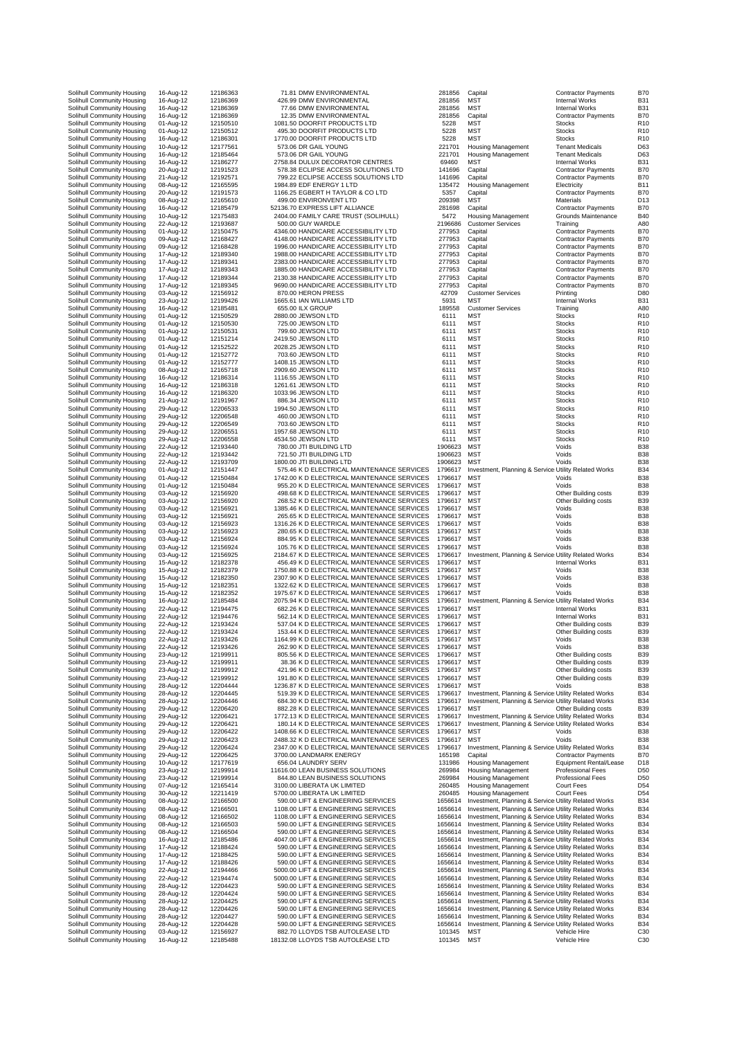|                                                          |                        | 12186363             | 71.81 DMW ENVIRONMENTAL                                                                    |                    |                                                                                                              |                                                          | <b>B70</b>                         |
|----------------------------------------------------------|------------------------|----------------------|--------------------------------------------------------------------------------------------|--------------------|--------------------------------------------------------------------------------------------------------------|----------------------------------------------------------|------------------------------------|
| Solihull Community Housing<br>Solihull Community Housing | 16-Aug-12<br>16-Aug-12 | 12186369             | 426.99 DMW ENVIRONMENTAL                                                                   | 281856<br>281856   | Capital<br><b>MST</b>                                                                                        | Contractor Payments<br><b>Internal Works</b>             | <b>B31</b>                         |
| Solihull Community Housing                               | 16-Aug-12              | 12186369             | 77.66 DMW ENVIRONMENTAL                                                                    | 281856             | MST                                                                                                          | <b>Internal Works</b>                                    | <b>B31</b>                         |
| Solihull Community Housing                               | 16-Aug-12              | 12186369             | 12.35 DMW ENVIRONMENTAL                                                                    | 281856             | Capital                                                                                                      | <b>Contractor Payments</b>                               | <b>B70</b>                         |
| Solihull Community Housing                               | 01-Aug-12              | 12150510             | 1081.50 DOORFIT PRODUCTS LTD                                                               | 5228               | <b>MST</b>                                                                                                   | <b>Stocks</b>                                            | R <sub>10</sub>                    |
| Solihull Community Housing<br>Solihull Community Housing | 01-Aug-12<br>16-Aug-12 | 12150512<br>12186301 | 495.30 DOORFIT PRODUCTS LTD<br>1770.00 DOORFIT PRODUCTS LTD                                | 5228<br>5228       | <b>MST</b><br><b>MST</b>                                                                                     | <b>Stocks</b><br><b>Stocks</b>                           | R <sub>10</sub><br>R <sub>10</sub> |
| Solihull Community Housing                               | 10-Aug-12              | 12177561             | 573.06 DR GAIL YOUNG                                                                       | 221701             | <b>Housing Management</b>                                                                                    | <b>Tenant Medicals</b>                                   | D63                                |
| Solihull Community Housing                               | 16-Aug-12              | 12185464             | 573.06 DR GAIL YOUNG                                                                       | 221701             | <b>Housing Management</b>                                                                                    | <b>Tenant Medicals</b>                                   | D63                                |
| Solihull Community Housing                               | 16-Aug-12              | 12186277             | 2758.84 DULUX DECORATOR CENTRES                                                            | 69460              | MST                                                                                                          | <b>Internal Works</b>                                    | B <sub>3</sub>                     |
| Solihull Community Housing                               | 20-Aug-12              | 12191523             | 578.38 ECLIPSE ACCESS SOLUTIONS LTD                                                        | 141696             | Capital                                                                                                      | <b>Contractor Payments</b>                               | <b>B70</b>                         |
| Solihull Community Housing<br>Solihull Community Housing | 21-Aug-12<br>08-Aug-12 | 12192571<br>12165595 | 799.22 ECLIPSE ACCESS SOLUTIONS LTD<br>1984.89 EDF ENERGY 1 LTD                            | 141696<br>135472   | Capital<br><b>Housing Management</b>                                                                         | <b>Contractor Payments</b><br>Electricity                | <b>B70</b><br><b>B11</b>           |
| Solihull Community Housing                               | 20-Aug-12              | 12191573             | 1166.25 EGBERT H TAYLOR & CO LTD                                                           | 5357               | Capital                                                                                                      | <b>Contractor Payments</b>                               | <b>B70</b>                         |
| Solihull Community Housing                               | 08-Aug-12              | 12165610             | 499.00 ENVIRONVENT LTD                                                                     | 209398             | MST                                                                                                          | Materials                                                | D <sub>13</sub>                    |
| Solihull Community Housing                               | 16-Aug-12              | 12185479             | 52136.70 EXPRESS LIFT ALLIANCE                                                             | 281698             | Capital                                                                                                      | <b>Contractor Payments</b>                               | <b>B70</b>                         |
| Solihull Community Housing                               | 10-Aug-12              | 12175483             | 2404.00 FAMILY CARE TRUST (SOLIHULL)                                                       | 5472               | <b>Housing Management</b>                                                                                    | Grounds Maintenance                                      | <b>B40</b>                         |
| Solihull Community Housing                               | 22-Aug-12              | 12193687             | 500.00 GUY WARDLE                                                                          | 2196686<br>277953  | <b>Customer Services</b>                                                                                     | Training                                                 | A80                                |
| Solihull Community Housing<br>Solihull Community Housing | 01-Aug-12<br>09-Aug-12 | 12150475<br>12168427 | 4346.00 HANDICARE ACCESSIBILITY LTD<br>4148.00 HANDICARE ACCESSIBILITY LTD                 | 277953             | Capital<br>Capital                                                                                           | <b>Contractor Payments</b><br><b>Contractor Payments</b> | <b>B70</b><br><b>B70</b>           |
| Solihull Community Housing                               | 09-Aug-12              | 12168428             | 1996.00 HANDICARE ACCESSIBILITY LTD                                                        | 277953             | Capital                                                                                                      | <b>Contractor Payments</b>                               | <b>B70</b>                         |
| Solihull Community Housing                               | 17-Aug-12              | 12189340             | 1988.00 HANDICARE ACCESSIBILITY LTD                                                        | 277953             | Capital                                                                                                      | <b>Contractor Payments</b>                               | <b>B70</b>                         |
| Solihull Community Housing                               | 17-Aug-12              | 12189341             | 2383.00 HANDICARE ACCESSIBILITY LTD                                                        | 277953             | Capital                                                                                                      | <b>Contractor Payments</b>                               | <b>B70</b>                         |
| Solihull Community Housing                               | 17-Aug-12              | 12189343             | 1885.00 HANDICARE ACCESSIBILITY LTD                                                        | 277953             | Capital                                                                                                      | <b>Contractor Payments</b>                               | <b>B70</b>                         |
| Solihull Community Housing                               | 17-Aug-12              | 12189344             | 2130.38 HANDICARE ACCESSIBILITY LTD                                                        | 277953             | Capital                                                                                                      | <b>Contractor Payments</b>                               | <b>B70</b>                         |
| Solihull Community Housing<br>Solihull Community Housing | 17-Aug-12<br>03-Aug-12 | 12189345<br>12156912 | 9690.00 HANDICARE ACCESSIBILITY LTD<br>870.00 HERON PRESS                                  | 277953<br>42709    | Capital<br><b>Customer Services</b>                                                                          | <b>Contractor Payments</b><br>Printing                   | <b>B70</b><br>D80                  |
| Solihull Community Housing                               | 23-Aug-12              | 12199426             | 1665.61 IAN WILLIAMS LTD                                                                   | 5931               | <b>MST</b>                                                                                                   | <b>Internal Works</b>                                    | <b>B31</b>                         |
| Solihull Community Housing                               | 16-Aug-12              | 12185481             | 655.00 ILX GROUP                                                                           | 189558             | <b>Customer Services</b>                                                                                     | Training                                                 | A80                                |
| Solihull Community Housing                               | 01-Aug-12              | 12150529             | 2880.00 JEWSON LTD                                                                         | 6111               | <b>MST</b>                                                                                                   | <b>Stocks</b>                                            | R <sub>10</sub>                    |
| Solihull Community Housing                               | 01-Aug-12              | 12150530             | 725.00 JEWSON LTD                                                                          | 6111               | <b>MST</b>                                                                                                   | <b>Stocks</b>                                            | R <sub>10</sub>                    |
| Solihull Community Housing                               | 01-Aug-12              | 12150531             | 799.60 JEWSON LTD                                                                          | 6111               | <b>MST</b>                                                                                                   | <b>Stocks</b>                                            | R <sub>10</sub>                    |
| Solihull Community Housing                               | 01-Aug-12              | 12151214             | 2419.50 JEWSON LTD                                                                         | 6111               | <b>MST</b>                                                                                                   | <b>Stocks</b>                                            | R <sub>10</sub>                    |
| Solihull Community Housing<br>Solihull Community Housing | 01-Aug-12<br>01-Aug-12 | 12152522<br>12152772 | 2028.25 JEWSON LTD<br>703.60 JEWSON LTD                                                    | 6111<br>6111       | <b>MST</b><br><b>MST</b>                                                                                     | <b>Stocks</b><br><b>Stocks</b>                           | R <sub>10</sub><br>R <sub>10</sub> |
| Solihull Community Housing                               | 01-Aug-12              | 12152777             | 1408.15 JEWSON LTD                                                                         | 6111               | <b>MST</b>                                                                                                   | <b>Stocks</b>                                            | R <sub>10</sub>                    |
| Solihull Community Housing                               | 08-Aug-12              | 12165718             | 2909.60 JEWSON LTD                                                                         | 6111               | <b>MST</b>                                                                                                   | <b>Stocks</b>                                            | R <sub>10</sub>                    |
| Solihull Community Housing                               | 16-Aug-12              | 12186314             | 1116.55 JEWSON LTD                                                                         | 6111               | <b>MST</b>                                                                                                   | <b>Stocks</b>                                            | R <sub>10</sub>                    |
| Solihull Community Housing                               | 16-Aug-12              | 12186318             | 1261.61 JEWSON LTD                                                                         | 6111               | <b>MST</b>                                                                                                   | <b>Stocks</b>                                            | R <sub>10</sub>                    |
| Solihull Community Housing                               | 16-Aug-12              | 12186320             | 1033.96 JEWSON LTD                                                                         | 6111               | <b>MST</b>                                                                                                   | Stocks                                                   | R <sub>10</sub>                    |
| Solihull Community Housing                               | 21-Aug-12              | 12191967             | 886.34 JEWSON LTD                                                                          | 6111               | MST                                                                                                          | Stocks                                                   | R <sub>10</sub>                    |
| Solihull Community Housing<br>Solihull Community Housing | 29-Aug-12<br>29-Aug-12 | 12206533<br>12206548 | 1994.50 JEWSON LTD<br>460.00 JEWSON LTD                                                    | 6111<br>6111       | <b>MST</b><br><b>MST</b>                                                                                     | <b>Stocks</b><br><b>Stocks</b>                           | R <sub>10</sub><br>R <sub>10</sub> |
| Solihull Community Housing                               | 29-Aug-12              | 12206549             | 703.60 JEWSON LTD                                                                          | 6111               | <b>MST</b>                                                                                                   | <b>Stocks</b>                                            | R <sub>10</sub>                    |
| Solihull Community Housing                               | 29-Aug-12              | 12206551             | 1957.68 JEWSON LTD                                                                         | 6111               | <b>MST</b>                                                                                                   | <b>Stocks</b>                                            | R <sub>10</sub>                    |
| Solihull Community Housing                               | 29-Aug-12              | 12206558             | 4534.50 JEWSON LTD                                                                         | 6111               | <b>MST</b>                                                                                                   | <b>Stocks</b>                                            | R <sub>10</sub>                    |
| Solihull Community Housing                               | 22-Aug-12              | 12193440             | 780.00 JTI BUILDING LTD                                                                    | 1906623            | MST                                                                                                          | Voids                                                    | <b>B38</b>                         |
| Solihull Community Housing                               | 22-Aug-12              | 12193442             | 721.50 JTI BUILDING LTD                                                                    | 1906623            | <b>MST</b>                                                                                                   | Voids                                                    | <b>B38</b>                         |
| Solihull Community Housing                               | 22-Aug-12              | 12193709             | 1800.00 JTI BUILDING LTD<br>575.46 K D ELECTRICAL MAINTENANCE SERVICES                     | 1906623<br>1796617 | <b>MST</b>                                                                                                   | Voids                                                    | <b>B38</b><br><b>B34</b>           |
| Solihull Community Housing<br>Solihull Community Housing | 01-Aug-12<br>01-Aug-12 | 12151447<br>12150484 | 1742.00 K D ELECTRICAL MAINTENANCE SERVICES                                                | 1796617            | Investment, Planning & Service Utility Related Works<br><b>MST</b>                                           | Voids                                                    | <b>B38</b>                         |
| Solihull Community Housing                               | 01-Aug-12              | 12150484             | 955.20 K D ELECTRICAL MAINTENANCE SERVICES                                                 | 1796617            | <b>MST</b>                                                                                                   | Voids                                                    | <b>B38</b>                         |
| Solihull Community Housing                               | 03-Aug-12              | 12156920             | 498.68 K D ELECTRICAL MAINTENANCE SERVICES                                                 | 1796617            | MST                                                                                                          | Other Building costs                                     | <b>B39</b>                         |
| Solihull Community Housing                               | 03-Aug-12              | 12156920             | 268.52 K D ELECTRICAL MAINTENANCE SERVICES                                                 | 1796617            | <b>MST</b>                                                                                                   | Other Building costs                                     | <b>B39</b>                         |
| Solihull Community Housing                               | 03-Aug-12              | 12156921             | 1385.46 K D ELECTRICAL MAINTENANCE SERVICES                                                | 1796617            | <b>MST</b>                                                                                                   | Voids                                                    | <b>B38</b>                         |
| Solihull Community Housing                               | 03-Aug-12              | 12156921             | 265.65 K D ELECTRICAL MAINTENANCE SERVICES                                                 | 1796617            | <b>MST</b>                                                                                                   | Voids                                                    | <b>B38</b>                         |
| Solihull Community Housing                               | 03-Aug-12<br>03-Aug-12 | 12156923<br>12156923 | 1316.26 K D ELECTRICAL MAINTENANCE SERVICES<br>280.65 K D ELECTRICAL MAINTENANCE SERVICES  | 1796617<br>1796617 | <b>MST</b><br><b>MST</b>                                                                                     | Voids<br>Voids                                           | <b>B38</b><br><b>B38</b>           |
| Solihull Community Housing<br>Solihull Community Housing | 03-Aug-12              | 12156924             | 884.95 K D ELECTRICAL MAINTENANCE SERVICES                                                 | 1796617            | <b>MST</b>                                                                                                   | Voids                                                    | <b>B38</b>                         |
| Solihull Community Housing                               | 03-Aug-12              | 12156924             | 105.76 K D ELECTRICAL MAINTENANCE SERVICES                                                 | 1796617            | <b>MST</b>                                                                                                   | Voids                                                    | <b>B38</b>                         |
| Solihull Community Housing                               | 03-Aug-12              | 12156925             | 2184.67 K D ELECTRICAL MAINTENANCE SERVICES                                                | 1796617            | Investment, Planning & Service Utility Related Works                                                         |                                                          | <b>B34</b>                         |
| Solihull Community Housing                               | 15-Aug-12              | 12182378             | 456.49 K D ELECTRICAL MAINTENANCE SERVICES                                                 | 1796617            | <b>MST</b>                                                                                                   | <b>Internal Works</b>                                    | B <sub>3</sub>                     |
| Solihull Community Housing                               | 15-Aug-12              | 12182379             | 1750.88 K D ELECTRICAL MAINTENANCE SERVICES                                                | 1796617            | <b>MST</b>                                                                                                   | Voids                                                    | <b>B38</b>                         |
| Solihull Community Housing                               | 15-Aug-12              | 12182350             | 2307.90 K D ELECTRICAL MAINTENANCE SERVICES                                                | 1796617            | <b>MST</b>                                                                                                   | Voids                                                    | <b>B38</b>                         |
| Solihull Community Housing<br>Solihull Community Housing | 15-Aug-12<br>15-Aug-12 | 12182351<br>12182352 | 1322.62 K D ELECTRICAL MAINTENANCE SERVICES<br>1975.67 K D ELECTRICAL MAINTENANCE SERVICES | 1796617<br>1796617 | <b>MST</b><br><b>MST</b>                                                                                     | Voids<br>Voids                                           | <b>B38</b><br><b>B38</b>           |
| Solihull Community Housing                               | 16-Aug-12              | 12185484             | 2075.94 K D ELECTRICAL MAINTENANCE SERVICES                                                | 1796617            | Investment, Planning & Service Utility Related Works                                                         |                                                          | <b>B34</b>                         |
| Solihull Community Housing                               | 22-Aug-12              | 12194475             | 682.26 K D ELECTRICAL MAINTENANCE SERVICES                                                 | 1796617            | <b>MST</b>                                                                                                   | <b>Internal Works</b>                                    | B <sub>3</sub>                     |
| Solihull Community Housing                               | 22-Aug-12              | 12194476             | 562.14 K D ELECTRICAL MAINTENANCE SERVICES                                                 | 1796617            | <b>MST</b>                                                                                                   | <b>Internal Works</b>                                    | B31                                |
| Solihull Community Housing                               | 22-Aug-12              | 12193424             | 537.04 K D ELECTRICAL MAINTENANCE SERVICES                                                 | 1796617            | <b>MST</b>                                                                                                   | Other Building costs                                     | <b>B39</b>                         |
| Solihull Community Housing                               | 22-Aug-12              | 12193424<br>12193426 | 153.44 K D ELECTRICAL MAINTENANCE SERVICES                                                 | 1796617            | MST                                                                                                          | Other Building costs                                     | <b>B39</b>                         |
| Solihull Community Housing<br>Solihull Community Housing | 22-Aug-12<br>22-Aug-12 | 12193426             | 1164.99 K D ELECTRICAL MAINTENANCE SERVICES<br>262.90 K D ELECTRICAL MAINTENANCE SERVICES  | 1796617            | мs<br><b>MST</b>                                                                                             | Voids<br>Voids                                           | ВЗЕ<br><b>B38</b>                  |
| Solihull Community Housing                               | 23-Aug-12              | 12199911             | 805.56 K D ELECTRICAL MAINTENANCE SERVICES                                                 | 1796617            | <b>MST</b>                                                                                                   | Other Building costs                                     | <b>B39</b>                         |
| Solihull Community Housing                               | 23-Aug-12              | 12199911             | 38.36 K D ELECTRICAL MAINTENANCE SERVICES                                                  | 1796617            | <b>MST</b>                                                                                                   | Other Building costs                                     | <b>B39</b>                         |
| Solihull Community Housing                               | 23-Aug-12              | 12199912             | 421.96 K D ELECTRICAL MAINTENANCE SERVICES                                                 | 1796617            | <b>MST</b>                                                                                                   | Other Building costs                                     | <b>B39</b>                         |
| Solihull Community Housing                               | 23-Aug-12              | 12199912             | 191.80 K D ELECTRICAL MAINTENANCE SERVICES                                                 | 1796617            | <b>MST</b>                                                                                                   | Other Building costs                                     | <b>B39</b>                         |
| Solihull Community Housing<br>Solihull Community Housing | 28-Aug-12<br>28-Aug-12 | 12204444<br>12204445 | 1236.87 K D ELECTRICAL MAINTENANCE SERVICES<br>519.39 K D ELECTRICAL MAINTENANCE SERVICES  | 1796617<br>1796617 | MST<br>Investment, Planning & Service Utility Related Works                                                  | Voids                                                    | <b>B38</b><br><b>B34</b>           |
| Solihull Community Housing                               | 28-Aug-12              | 12204446             | 684.30 K D ELECTRICAL MAINTENANCE SERVICES                                                 | 1796617            | Investment, Planning & Service Utility Related Works                                                         |                                                          | B34                                |
| Solihull Community Housing                               | 29-Aug-12              | 12206420             | 882.28 K D ELECTRICAL MAINTENANCE SERVICES                                                 | 1796617            | <b>MST</b>                                                                                                   | Other Building costs                                     | <b>B39</b>                         |
| Solihull Community Housing                               | 29-Aug-12              | 12206421             | 1772.13 K D ELECTRICAL MAINTENANCE SERVICES                                                | 1796617            | Investment, Planning & Service Utility Related Works                                                         |                                                          | <b>B34</b>                         |
| Solihull Community Housing                               | 29-Aug-12              | 12206421             | 180.14 K D ELECTRICAL MAINTENANCE SERVICES                                                 | 1796617            | Investment, Planning & Service Utility Related Works                                                         |                                                          | <b>B34</b>                         |
| Solihull Community Housing                               | 29-Aug-12              | 12206422             | 1408.66 K D ELECTRICAL MAINTENANCE SERVICES                                                | 1796617            | <b>MST</b>                                                                                                   | Voids                                                    | <b>B38</b>                         |
| Solihull Community Housing<br>Solihull Community Housing | 29-Aug-12<br>29-Aug-12 | 12206423<br>12206424 | 2488.32 K D ELECTRICAL MAINTENANCE SERVICES<br>2347.00 K D ELECTRICAL MAINTENANCE SERVICES | 1796617<br>1796617 | <b>MST</b><br>Investment, Planning & Service Utility Related Works                                           | Voids                                                    | <b>B38</b><br><b>B34</b>           |
| Solihull Community Housing                               | 29-Aug-12              | 12206425             | 3700.00 LANDMARK ENERGY                                                                    | 165198             | Capital                                                                                                      | <b>Contractor Payments</b>                               | <b>B70</b>                         |
| Solihull Community Housing                               | 10-Aug-12              | 12177619             | 656.04 LAUNDRY SERV                                                                        | 131986             | <b>Housing Management</b>                                                                                    | Equipment Rental/Lease                                   | D18                                |
| Solihull Community Housing                               | 23-Aug-12              | 12199914             | 11616.00 LEAN BUSINESS SOLUTIONS                                                           | 269984             | <b>Housing Management</b>                                                                                    | Professional Fees                                        | D <sub>50</sub>                    |
| Solihull Community Housing                               | 23-Aug-12              | 12199914             | 844.80 LEAN BUSINESS SOLUTIONS                                                             | 269984             | <b>Housing Management</b>                                                                                    | <b>Professional Fees</b>                                 | D <sub>50</sub>                    |
| Solihull Community Housing                               | 07-Aug-12              | 12165414             | 3100.00 LIBERATA UK LIMITED                                                                | 260485             | <b>Housing Management</b><br><b>Housing Management</b>                                                       | Court Fees                                               | D <sub>54</sub>                    |
| Solihull Community Housing<br>Solihull Community Housing | 30-Aug-12<br>08-Aug-12 | 12211419<br>12166500 | 5700.00 LIBERATA UK LIMITED<br>590.00 LIFT & ENGINEERING SERVICES                          | 260485<br>1656614  | Investment, Planning & Service Utility Related Works                                                         | Court Fees                                               | D <sub>54</sub><br><b>B34</b>      |
| Solihull Community Housing                               | 08-Aug-12              | 12166501             | 1108.00 LIFT & ENGINEERING SERVICES                                                        | 1656614            | Investment, Planning & Service Utility Related Works                                                         |                                                          | <b>B34</b>                         |
| Solihull Community Housing                               | 08-Aug-12              | 12166502             | 1108.00 LIFT & ENGINEERING SERVICES                                                        | 1656614            | Investment, Planning & Service Utility Related Works                                                         |                                                          | <b>B34</b>                         |
| Solihull Community Housing                               | 08-Aug-12              | 12166503             | 590.00 LIFT & ENGINEERING SERVICES                                                         | 1656614            | Investment, Planning & Service Utility Related Works                                                         |                                                          | <b>B34</b>                         |
| Solihull Community Housing                               | 08-Aug-12              | 12166504             | 590.00 LIFT & ENGINEERING SERVICES                                                         | 1656614            | Investment, Planning & Service Utility Related Works                                                         |                                                          | <b>B34</b>                         |
| Solihull Community Housing                               | 16-Aug-12              | 12185486             | 4047.00 LIFT & ENGINEERING SERVICES                                                        | 1656614            | Investment, Planning & Service Utility Related Works                                                         |                                                          | <b>B34</b>                         |
| Solihull Community Housing<br>Solihull Community Housing | 17-Aug-12<br>17-Aug-12 | 12188424<br>12188425 | 590.00 LIFT & ENGINEERING SERVICES<br>590.00 LIFT & ENGINEERING SERVICES                   | 1656614<br>1656614 | Investment, Planning & Service Utility Related Works<br>Investment, Planning & Service Utility Related Works |                                                          | <b>B34</b><br><b>B34</b>           |
| Solihull Community Housing                               | 17-Aug-12              | 12188426             | 590.00 LIFT & ENGINEERING SERVICES                                                         | 1656614            | Investment, Planning & Service Utility Related Works                                                         |                                                          | <b>B34</b>                         |
| Solihull Community Housing                               | 22-Aug-12              | 12194466             | 5000.00 LIFT & ENGINEERING SERVICES                                                        | 1656614            | Investment, Planning & Service Utility Related Works                                                         |                                                          | <b>B34</b>                         |
| Solihull Community Housing                               | 22-Aug-12              | 12194474             | 5000.00 LIFT & ENGINEERING SERVICES                                                        | 1656614            | Investment, Planning & Service Utility Related Works                                                         |                                                          | <b>B34</b>                         |
| Solihull Community Housing                               | 28-Aug-12              | 12204423             | 590.00 LIFT & ENGINEERING SERVICES                                                         | 1656614            | Investment, Planning & Service Utility Related Works                                                         |                                                          | <b>B34</b>                         |
| Solihull Community Housing                               | 28-Aug-12              | 12204424             | 590.00 LIFT & ENGINEERING SERVICES                                                         | 1656614            | Investment, Planning & Service Utility Related Works                                                         |                                                          | <b>B34</b>                         |
| Solihull Community Housing<br>Solihull Community Housing | 28-Aug-12<br>28-Aug-12 | 12204425<br>12204426 | 590.00 LIFT & ENGINEERING SERVICES<br>590.00 LIFT & ENGINEERING SERVICES                   | 1656614<br>1656614 | Investment, Planning & Service Utility Related Works<br>Investment, Planning & Service Utility Related Works |                                                          | <b>B34</b><br><b>B34</b>           |
| Solihull Community Housing                               | 28-Aug-12              | 12204427             | 590.00 LIFT & ENGINEERING SERVICES                                                         | 1656614            | Investment, Planning & Service Utility Related Works                                                         |                                                          | <b>B34</b>                         |
| Solihull Community Housing                               | 28-Aug-12              | 12204428             | 590.00 LIFT & ENGINEERING SERVICES                                                         | 1656614            | Investment, Planning & Service Utility Related Works                                                         |                                                          | <b>B34</b>                         |
|                                                          |                        |                      | 882.70 LLOYDS TSB AUTOLEASE LTD                                                            | 101345             | <b>MST</b>                                                                                                   | Vehicle Hire                                             | C30                                |
| Solihull Community Housing<br>Solihull Community Housing | 03-Aug-12<br>16-Aug-12 | 12156927<br>12185488 | 18132.08 LLOYDS TSB AUTOLEASE LTD                                                          | 101345             | MST                                                                                                          | Vehicle Hire                                             | C30                                |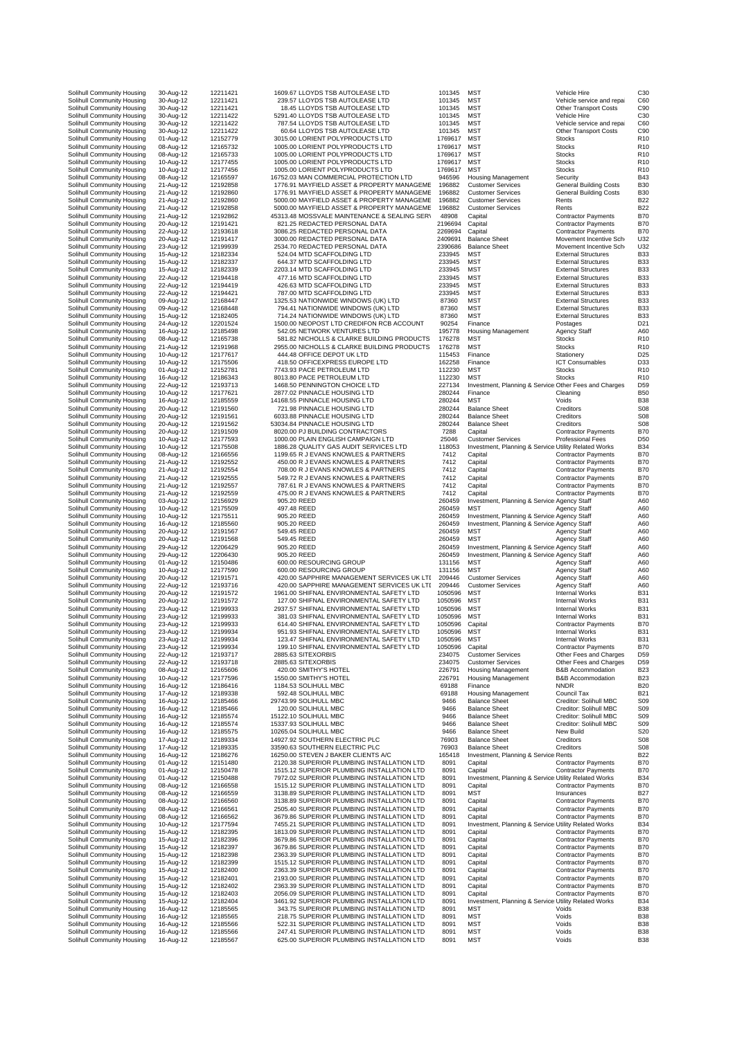| Solihull Community Housing                               | 30-Aug-12              | 12211421<br>12211421 | 1609.67 LLOYDS TSB AUTOLEASE LTD                                                         | 101345             | <b>MST</b><br><b>MST</b>                                           | Vehicle Hire                                             | C30<br>C60                          |
|----------------------------------------------------------|------------------------|----------------------|------------------------------------------------------------------------------------------|--------------------|--------------------------------------------------------------------|----------------------------------------------------------|-------------------------------------|
| Solihull Community Housing<br>Solihull Community Housing | 30-Aug-12              | 12211421             | 239.57 LLOYDS TSB AUTOLEASE LTD<br>18.45 LLOYDS TSB AUTOLEASE LTD                        | 101345             | <b>MST</b>                                                         | Vehicle service and repai<br>Other Transport Costs       |                                     |
| Solihull Community Housing                               | 30-Aug-12<br>30-Aug-12 | 12211422             | 5291.40 LLOYDS TSB AUTOLEASE LTD                                                         | 101345<br>101345   | MST                                                                | Vehicle Hire                                             | C <sub>90</sub><br>C <sub>3</sub>   |
| Solihull Community Housing                               | 30-Aug-12              | 12211422             | 787.54 LLOYDS TSB AUTOLEASE LTD                                                          | 101345             | <b>MST</b>                                                         | Vehicle service and repai                                | C <sub>6</sub>                      |
| Solihull Community Housing                               | 30-Aug-12              | 12211422             | 60.64 LLOYDS TSB AUTOLEASE LTD                                                           | 101345             | <b>MST</b>                                                         | Other Transport Costs                                    | C <sub>90</sub>                     |
| Solihull Community Housing                               | 01-Aug-12              | 12152779             | 3015.00 LORIENT POLYPRODUCTS LTD                                                         | 1769617            | <b>MST</b>                                                         | <b>Stocks</b>                                            | R <sub>10</sub>                     |
| Solihull Community Housing                               | 08-Aug-12              | 12165732             | 1005.00 LORIENT POLYPRODUCTS LTD                                                         | 1769617            | <b>MST</b>                                                         | <b>Stocks</b>                                            | R <sub>10</sub>                     |
| Solihull Community Housing                               | 08-Aug-12              | 12165733             | 1005.00 LORIENT POLYPRODUCTS LTD                                                         | 1769617            | <b>MST</b>                                                         | Stocks                                                   | R <sub>10</sub>                     |
| Solihull Community Housing                               | 10-Aug-12              | 12177455             | 1005.00 LORIENT POLYPRODUCTS LTD                                                         | 1769617            | MST                                                                | Stocks                                                   | <b>R10</b>                          |
| Solihull Community Housing                               | 10-Aug-12              | 12177456             | 1005.00 LORIENT POLYPRODUCTS LTD                                                         | 1769617            | <b>MST</b>                                                         | <b>Stocks</b>                                            | R <sub>10</sub>                     |
| Solihull Community Housing                               | 08-Aug-12              | 12165597             | 16752.03 MAN COMMERCIAL PROTECTION LTD                                                   | 946596             | <b>Housing Management</b>                                          | Security                                                 | B43                                 |
| Solihull Community Housing                               | 21-Aug-12              | 12192858             | 1776.91 MAYFIELD ASSET & PROPERTY MANAGEME                                               | 196882             | <b>Customer Services</b>                                           | <b>General Building Costs</b>                            | B <sub>3</sub> C                    |
| Solihull Community Housing                               | 21-Aug-12              | 12192860             | 1776.91 MAYFIELD ASSET & PROPERTY MANAGEME                                               | 196882             | <b>Customer Services</b>                                           | <b>General Building Costs</b>                            | B <sub>3</sub> C                    |
| Solihull Community Housing                               | 21-Aug-12              | 12192860             | 5000.00 MAYFIELD ASSET & PROPERTY MANAGEME                                               | 196882             | <b>Customer Services</b>                                           | Rents                                                    | <b>B22</b>                          |
| Solihull Community Housing<br>Solihull Community Housing | 21-Aug-12              | 12192858             | 5000.00 MAYFIELD ASSET & PROPERTY MANAGEME                                               | 196882<br>48908    | <b>Customer Services</b>                                           | Rents                                                    | <b>B22</b><br><b>B70</b>            |
| Solihull Community Housing                               | 21-Aug-12<br>20-Aug-12 | 12192862<br>12191421 | 45313.48 MOSSVALE MAINTENANCE & SEALING SERV<br>821.25 REDACTED PERSONAL DATA            | 2196694            | Capital<br>Capital                                                 | <b>Contractor Payments</b><br><b>Contractor Payments</b> | <b>B70</b>                          |
| Solihull Community Housing                               | 22-Aug-12              | 12193618             | 3086.25 REDACTED PERSONAL DATA                                                           | 2269694            | Capital                                                            | <b>Contractor Payments</b>                               | <b>B70</b>                          |
| Solihull Community Housing                               | 20-Aug-12              | 12191417             | 3000.00 REDACTED PERSONAL DATA                                                           | 2409691            | <b>Balance Sheet</b>                                               | Movement Incentive Sch                                   | U32                                 |
| Solihull Community Housing                               | 23-Aug-12              | 12199939             | 2534.70 REDACTED PERSONAL DATA                                                           | 2390686            | <b>Balance Sheet</b>                                               | Movement Incentive Sch                                   | U32                                 |
| Solihull Community Housing                               | 15-Aug-12              | 12182334             | 524.04 MTD SCAFFOLDING LTD                                                               | 233945             | <b>MST</b>                                                         | <b>External Structures</b>                               | <b>B33</b>                          |
| Solihull Community Housing                               | 15-Aug-12              | 12182337             | 644.37 MTD SCAFFOLDING LTD                                                               | 233945             | <b>MST</b>                                                         | <b>External Structures</b>                               | <b>B33</b>                          |
| Solihull Community Housing                               | 15-Aug-12              | 12182339             | 2203.14 MTD SCAFFOLDING LTD                                                              | 233945             | <b>MST</b>                                                         | <b>External Structures</b>                               | <b>B33</b>                          |
| Solihull Community Housing                               | 22-Aug-12              | 12194418             | 477.16 MTD SCAFFOLDING LTD                                                               | 233945             | <b>MST</b>                                                         | <b>External Structures</b>                               | <b>B33</b>                          |
| Solihull Community Housing                               | 22-Aug-12              | 12194419             | 426.63 MTD SCAFFOLDING LTD                                                               | 233945             | <b>MST</b>                                                         | <b>External Structures</b>                               | <b>B33</b>                          |
| Solihull Community Housing                               | 22-Aug-12              | 12194421             | 787.00 MTD SCAFFOLDING LTD                                                               | 233945             | <b>MST</b>                                                         | <b>External Structures</b>                               | <b>B33</b>                          |
| Solihull Community Housing                               | 09-Aug-12              | 12168447             | 1325.53 NATIONWIDE WINDOWS (UK) LTD                                                      | 87360              | <b>MST</b>                                                         | <b>External Structures</b>                               | <b>B33</b>                          |
| Solihull Community Housing                               | 09-Aug-12              | 12168448             | 794.41 NATIONWIDE WINDOWS (UK) LTD                                                       | 87360              | <b>MST</b>                                                         | <b>External Structures</b>                               | <b>B33</b>                          |
| Solihull Community Housing                               | 15-Aug-12              | 12182405             | 714.24 NATIONWIDE WINDOWS (UK) LTD                                                       | 87360              | <b>MST</b>                                                         | <b>External Structures</b>                               | <b>B33</b>                          |
| Solihull Community Housing<br>Solihull Community Housing | 24-Aug-12              | 12201524<br>12185498 | 1500.00 NEOPOST LTD CREDIFON RCB ACCOUNT<br>542.05 NETWORK VENTURES LTD                  | 90254<br>195778    | Finance<br><b>Housing Management</b>                               | Postages                                                 | D <sub>21</sub><br>A <sub>6</sub> C |
|                                                          | 16-Aug-12              |                      | 581.82 NICHOLLS & CLARKE BUILDING PRODUCTS                                               | 176278             | <b>MST</b>                                                         | Agency Staff                                             | R <sub>10</sub>                     |
| Solihull Community Housing<br>Solihull Community Housing | 08-Aug-12<br>21-Aug-12 | 12165738<br>12191968 | 2955.00 NICHOLLS & CLARKE BUILDING PRODUCTS                                              | 176278             | <b>MST</b>                                                         | <b>Stocks</b><br>Stocks                                  | R <sub>10</sub>                     |
| Solihull Community Housing                               | 10-Aug-12              | 12177617             | 444.48 OFFICE DEPOT UK LTD                                                               | 115453             | Finance                                                            | Stationery                                               | D <sub>25</sub>                     |
| Solihull Community Housing                               | 10-Aug-12              | 12175506             | 418.50 OFFICEXPRESS EUROPE LTD                                                           | 162258             | Finance                                                            | <b>ICT Consumables</b>                                   | D <sub>33</sub>                     |
| Solihull Community Housing                               | 01-Aug-12              | 12152781             | 7743.93 PACE PETROLEUM LTD                                                               | 112230             | <b>MST</b>                                                         | <b>Stocks</b>                                            | R <sub>10</sub>                     |
| Solihull Community Housing                               | 16-Aug-12              | 12186343             | 8013.80 PACE PETROLEUM LTD                                                               | 112230             | <b>MST</b>                                                         | <b>Stocks</b>                                            | R <sub>10</sub>                     |
| Solihull Community Housing                               | 22-Aug-12              | 12193713             | 1468.50 PENNINGTON CHOICE LTD                                                            | 227134             | Investment, Planning & Service Other Fees and Charges              |                                                          | D <sub>5</sub>                      |
| Solihull Community Housing                               | 10-Aug-12              | 12177621             | 2877.02 PINNACLE HOUSING LTD                                                             | 280244             | Finance                                                            | Cleaning                                                 | <b>B50</b>                          |
| Solihull Community Housing                               | 16-Aug-12              | 12185559             | 14168.55 PINNACLE HOUSING LTD                                                            | 280244             | <b>MST</b>                                                         | Voids                                                    | B <sub>38</sub>                     |
| Solihull Community Housing                               | 20-Aug-12              | 12191560             | 721.98 PINNACLE HOUSING LTD                                                              | 280244             | <b>Balance Sheet</b>                                               | Creditors                                                | S <sub>08</sub>                     |
| Solihull Community Housing                               | 20-Aug-12              | 12191561             | 6033.88 PINNACLE HOUSING LTD                                                             | 280244             | <b>Balance Sheet</b>                                               | Creditors                                                | S <sub>08</sub>                     |
| Solihull Community Housing                               | 20-Aug-12              | 12191562             | 53034.84 PINNACLE HOUSING LTD                                                            | 280244             | <b>Balance Sheet</b>                                               | Creditors                                                | S <sub>0</sub>                      |
| Solihull Community Housing                               | 20-Aug-12              | 12191509             | 8020.00 PJ BUILDING CONTRACTORS                                                          | 7288               | Capital                                                            | <b>Contractor Payments</b>                               | <b>B70</b>                          |
| Solihull Community Housing                               | 10-Aug-12              | 12177593             | 1000.00 PLAIN ENGLISH CAMPAIGN LTD                                                       | 25046              | <b>Customer Services</b>                                           | <b>Professional Fees</b>                                 | D <sub>5</sub>                      |
| Solihull Community Housing                               | 10-Aug-12              | 12175508             | 1886.28 QUALITY GAS AUDIT SERVICES LTD                                                   | 118053             | Investment, Planning & Service Utility Related Works               |                                                          | <b>B34</b>                          |
| Solihull Community Housing                               | 08-Aug-12              | 12166556             | 1199.65 R J EVANS KNOWLES & PARTNERS                                                     | 7412               | Capital                                                            | <b>Contractor Payments</b>                               | <b>B70</b>                          |
| Solihull Community Housing<br>Solihull Community Housing | 21-Aug-12<br>21-Aug-12 | 12192552<br>12192554 | 450.00 R J EVANS KNOWLES & PARTNERS<br>708.00 R J EVANS KNOWLES & PARTNERS               | 7412<br>7412       | Capital<br>Capital                                                 | <b>Contractor Payments</b><br><b>Contractor Payments</b> | <b>B70</b><br><b>B70</b>            |
| Solihull Community Housing                               | 21-Aug-12              | 12192555             | 549.72 R J EVANS KNOWLES & PARTNERS                                                      | 7412               | Capital                                                            | <b>Contractor Payments</b>                               | <b>B70</b>                          |
| Solihull Community Housing                               | 21-Aug-12              | 12192557             | 787.61 R J EVANS KNOWLES & PARTNERS                                                      | 7412               | Capital                                                            | <b>Contractor Payments</b>                               | <b>B70</b>                          |
| Solihull Community Housing                               | 21-Aug-12              | 12192559             | 475.00 R J EVANS KNOWLES & PARTNERS                                                      | 7412               | Capital                                                            | <b>Contractor Payments</b>                               | <b>B70</b>                          |
| Solihull Community Housing                               | 03-Aug-12              | 12156929             | 905.20 REED                                                                              | 260459             | Investment, Planning & Service Agency Staff                        |                                                          | A60                                 |
| Solihull Community Housing                               | 10-Aug-12              | 12175509             | 497.48 REED                                                                              | 260459             | MST                                                                | <b>Agency Staff</b>                                      | A60                                 |
|                                                          |                        |                      |                                                                                          |                    |                                                                    |                                                          |                                     |
|                                                          |                        | 12175511             | 905.20 REED                                                                              | 260459             |                                                                    |                                                          | A <sub>6</sub> C                    |
| Solihull Community Housing<br>Solihull Community Housing | 10-Aug-12<br>16-Aug-12 | 12185560             | 905.20 REED                                                                              | 260459             | Investment, Planning & Service Agency Staff                        |                                                          | A <sub>6</sub> C                    |
| Solihull Community Housing                               | 20-Aug-12              | 12191567             | 549.45 REED                                                                              | 260459             | Investment, Planning & Service Agency Staff<br><b>MST</b>          | Agency Staff                                             | A <sub>6</sub> C                    |
| Solihull Community Housing                               | 20-Aug-12              | 12191568             | 549.45 REED                                                                              | 260459             | <b>MST</b>                                                         | <b>Agency Staff</b>                                      | A60                                 |
| Solihull Community Housing                               | 29-Aug-12              | 12206429             | 905.20 REED                                                                              | 260459             | Investment, Planning & Service Agency Staff                        |                                                          | A60                                 |
| Solihull Community Housing                               | 29-Aug-12              | 12206430             | 905.20 REED                                                                              | 260459             | Investment, Planning & Service Agency Staff                        |                                                          | A60                                 |
| Solihull Community Housing                               | 01-Aug-12              | 12150486             | 600.00 RESOURCING GROUP                                                                  | 131156             | <b>MST</b>                                                         | <b>Agency Staff</b>                                      | A <sub>6</sub> C                    |
| Solihull Community Housing                               | 10-Aug-12              | 12177590             | 600.00 RESOURCING GROUP                                                                  | 131156             | <b>MST</b>                                                         | <b>Agency Staff</b>                                      | A <sub>6</sub> C                    |
| Solihull Community Housing                               | 20-Aug-12              | 12191571             | 420.00 SAPPHIRE MANAGEMENT SERVICES UK LTI                                               | 209446             | <b>Customer Services</b>                                           | Agency Staff                                             | A60                                 |
| Solihull Community Housing                               | 22-Aug-12              | 12193716             | 420.00 SAPPHIRE MANAGEMENT SERVICES UK LTI                                               | 209446             | <b>Customer Services</b>                                           | <b>Agency Staff</b>                                      | A60                                 |
| Solihull Community Housing                               | 20-Aug-12              | 12191572             | 1961.00 SHIFNAL ENVIRONMENTAL SAFETY LTD                                                 | 1050596            | <b>MST</b>                                                         | <b>Internal Works</b>                                    | <b>B31</b>                          |
| Solihull Community Housing                               | 20-Aug-12              | 12191572             | 127.00 SHIFNAL ENVIRONMENTAL SAFETY LTD                                                  | 1050596            | MST                                                                | Internal Works                                           | <b>B31</b>                          |
| Solihull Community Housing                               | 23-Aug-12              | 12199933             | 2937.57 SHIFNAL ENVIRONMENTAL SAFETY LTD                                                 | 1050596            | <b>MST</b>                                                         | <b>Internal Works</b>                                    | <b>B31</b>                          |
| Solihull Community Housing                               | 23-Aug-12              | 12199933             | 381.03 SHIFNAL ENVIRONMENTAL SAFETY LTD                                                  | 1050596            | MST                                                                | Internal Works                                           | <b>B31</b>                          |
| Solihull Community Housing                               | 23-Aug-12              | 12199933<br>12199934 | 614.40 SHIFNAL ENVIRONMENTAL SAFETY LTD                                                  | 1050596            | Capital<br><b>MST</b>                                              | <b>Contractor Payments</b>                               | <b>B70</b><br><b>B31</b>            |
| Solihull Community Housing<br>Solihull Community Housing | 23-Aug-12<br>23-Aug-12 | 12199934             | 951.93 SHIFNAL ENVIRONMENTAL SAFETY LTD<br>123.47 SHIFNAL ENVIRONMENTAL SAFETY LTD       | 1050596<br>1050596 | MST                                                                | Internal Works<br>Internal Works                         | B31                                 |
| Solihull Community Housing                               | 23-Aug-12              | 12199934             | 199.10 SHIFNAL ENVIRONMENTAL SAFETY LTD                                                  | 1050596            | Capital                                                            | <b>Contractor Payments</b>                               | <b>B70</b>                          |
| Solihull Community Housing                               | 22-Aug-12              | 12193717             | 2885.63 SITEXORBIS                                                                       | 234075             | <b>Customer Services</b>                                           | Other Fees and Charges                                   | D <sub>59</sub>                     |
| Solihull Community Housing                               | 22-Aug-12              | 12193718             | 2885.63 SITEXORBIS                                                                       | 234075             | <b>Customer Services</b>                                           | Other Fees and Charges                                   | D <sub>59</sub>                     |
| Solihull Community Housing                               | 08-Aug-12              | 12165606             | 420.00 SMITHY'S HOTEL                                                                    | 226791             | <b>Housing Management</b>                                          | <b>B&amp;B Accommodation</b>                             | B23                                 |
| Solihull Community Housing                               | 10-Aug-12              | 12177596             | 1550.00 SMITHY'S HOTEL                                                                   | 226791             | <b>Housing Management</b>                                          | <b>B&amp;B Accommodation</b>                             | B23                                 |
| Solihull Community Housing                               | 16-Aug-12              | 12186416             | 1184.53 SOLIHULL MBC                                                                     | 69188              | Finance                                                            | <b>NNDR</b>                                              | <b>B20</b>                          |
| Solihull Community Housing                               | 17-Aug-12              | 12189338             | 592.48 SOLIHULL MBC                                                                      | 69188              | <b>Housing Management</b>                                          | Council Tax                                              | <b>B21</b>                          |
| Solihull Community Housing<br>Solihull Community Housing | 16-Aug-12<br>16-Aug-12 | 12185466<br>12185466 | 29743.99 SOLIHULL MBC<br>120.00 SOLIHULL MBC                                             | 9466<br>9466       | <b>Balance Sheet</b><br><b>Balance Sheet</b>                       | Creditor: Solihull MBC<br>Creditor: Solihull MBC         | S <sub>09</sub><br>S <sub>09</sub>  |
| Solihull Community Housing                               | 16-Aug-12              | 12185574             | 15122.10 SOLIHULL MBC                                                                    | 9466               | <b>Balance Sheet</b>                                               | Creditor: Solihull MBC                                   | S <sub>09</sub>                     |
| Solihull Community Housing                               | 16-Aug-12              | 12185574             | 15337.93 SOLIHULL MBC                                                                    | 9466               | <b>Balance Sheet</b>                                               | Creditor: Solihull MBC                                   | S <sub>09</sub>                     |
| Solihull Community Housing                               | 16-Aug-12              | 12185575             | 10265.04 SOLIHULL MBC                                                                    | 9466               | <b>Balance Sheet</b>                                               | New Build                                                | S20                                 |
| Solihull Community Housing                               | 17-Aug-12              | 12189334             | 14927.92 SOUTHERN ELECTRIC PLC                                                           | 76903              | <b>Balance Sheet</b>                                               | Creditors                                                | S <sub>08</sub>                     |
| Solihull Community Housing                               | 17-Aug-12              | 12189335             | 33590.63 SOUTHERN ELECTRIC PLC                                                           | 76903              | <b>Balance Sheet</b>                                               | Creditors                                                | S <sub>08</sub>                     |
| Solihull Community Housing                               | 16-Aug-12              | 12186276             | 16250.00 STEVEN J BAKER CLIENTS A/C                                                      | 165418             | Investment, Planning & Service Rents                               |                                                          | <b>B22</b>                          |
| Solihull Community Housing                               | 01-Aug-12              | 12151480             | 2120.38 SUPERIOR PLUMBING INSTALLATION LTD                                               | 8091               | Capital                                                            | <b>Contractor Payments</b>                               | <b>B70</b>                          |
| Solihull Community Housing                               | 01-Aug-12              | 12150478             | 1515.12 SUPERIOR PLUMBING INSTALLATION LTD                                               | 8091               | Capital                                                            | <b>Contractor Payments</b>                               | <b>B70</b>                          |
| Solihull Community Housing                               | 01-Aug-12              | 12150488             | 7972.02 SUPERIOR PLUMBING INSTALLATION LTD                                               | 8091               | Investment, Planning & Service Utility Related Works               |                                                          | <b>B34</b>                          |
| Solihull Community Housing                               | 08-Aug-12              | 12166558             | 1515.12 SUPERIOR PLUMBING INSTALLATION LTD                                               | 8091               | Capital                                                            | <b>Contractor Payments</b>                               | <b>B70</b>                          |
| Solihull Community Housing                               | 08-Aug-12              | 12166559<br>12166560 | 3138.89 SUPERIOR PLUMBING INSTALLATION LTD<br>3138.89 SUPERIOR PLUMBING INSTALLATION LTD | 8091<br>8091       | MST<br>Capital                                                     | Insurances                                               | <b>B27</b><br><b>B70</b>            |
| Solihull Community Housing<br>Solihull Community Housing | 08-Aug-12<br>08-Aug-12 | 12166561             | 2505.40 SUPERIOR PLUMBING INSTALLATION LTD                                               | 8091               | Capital                                                            | <b>Contractor Payments</b><br><b>Contractor Payments</b> | <b>B70</b>                          |
| Solihull Community Housing                               | 08-Aug-12              | 12166562             | 3679.86 SUPERIOR PLUMBING INSTALLATION LTD                                               | 8091               | Capital                                                            | <b>Contractor Payments</b>                               | <b>B70</b>                          |
| Solihull Community Housing                               | 10-Aug-12              | 12177594             | 7455.21 SUPERIOR PLUMBING INSTALLATION LTD                                               | 8091               | Investment, Planning & Service Utility Related Works               |                                                          | <b>B34</b>                          |
| Solihull Community Housing                               | 15-Aug-12              | 12182395             | 1813.09 SUPERIOR PLUMBING INSTALLATION LTD                                               | 8091               | Capital                                                            | <b>Contractor Payments</b>                               | B70                                 |
| Solihull Community Housing                               | 15-Aug-12              | 12182396             | 3679.86 SUPERIOR PLUMBING INSTALLATION LTD                                               | 8091               | Capital                                                            | <b>Contractor Payments</b>                               | <b>B70</b>                          |
| Solihull Community Housing                               | 15-Aug-12              | 12182397             | 3679.86 SUPERIOR PLUMBING INSTALLATION LTD                                               | 8091               | Capital                                                            | <b>Contractor Payments</b>                               | <b>B70</b>                          |
| Solihull Community Housing                               | 15-Aug-12              | 12182398             | 2363.39 SUPERIOR PLUMBING INSTALLATION LTD                                               | 8091               | Capital                                                            | <b>Contractor Payments</b>                               | <b>B70</b>                          |
| Solihull Community Housing                               | 15-Aug-12              | 12182399             | 1515.12 SUPERIOR PLUMBING INSTALLATION LTD                                               | 8091               | Capital                                                            | <b>Contractor Payments</b>                               | <b>B70</b>                          |
| Solihull Community Housing                               | 15-Aug-12              | 12182400             | 2363.39 SUPERIOR PLUMBING INSTALLATION LTD                                               | 8091               | Capital                                                            | <b>Contractor Payments</b>                               | <b>B70</b>                          |
| Solihull Community Housing                               | 15-Aug-12              | 12182401             | 2193.00 SUPERIOR PLUMBING INSTALLATION LTD                                               | 8091               | Capital                                                            | <b>Contractor Payments</b>                               | <b>B70</b>                          |
| Solihull Community Housing                               | 15-Aug-12              | 12182402             | 2363.39 SUPERIOR PLUMBING INSTALLATION LTD                                               | 8091               | Capital                                                            | <b>Contractor Payments</b>                               | <b>B70</b>                          |
| Solihull Community Housing                               | 15-Aug-12              | 12182403             | 2056.09 SUPERIOR PLUMBING INSTALLATION LTD                                               | 8091<br>8091       | Capital                                                            | <b>Contractor Payments</b>                               | <b>B70</b><br>B34                   |
| Solihull Community Housing<br>Solihull Community Housing | 15-Aug-12<br>16-Aug-12 | 12182404<br>12185565 | 3461.92 SUPERIOR PLUMBING INSTALLATION LTD<br>343.75 SUPERIOR PLUMBING INSTALLATION LTD  | 8091               | Investment, Planning & Service Utility Related Works<br><b>MST</b> | Voids                                                    | <b>B38</b>                          |
| Solihull Community Housing                               | 16-Aug-12              | 12185565             | 218.75 SUPERIOR PLUMBING INSTALLATION LTD                                                | 8091               | <b>MST</b>                                                         | Voids                                                    | <b>B38</b>                          |
| Solihull Community Housing                               | 16-Aug-12              | 12185566             | 522.31 SUPERIOR PLUMBING INSTALLATION LTD                                                | 8091               | MST                                                                | Voids                                                    | B38                                 |
| Solihull Community Housing<br>Solihull Community Housing | 16-Aug-12<br>16-Aug-12 | 12185566<br>12185567 | 247.41 SUPERIOR PLUMBING INSTALLATION LTD<br>625.00 SUPERIOR PLUMBING INSTALLATION LTD   | 8091<br>8091       | MST<br>MST                                                         | Voids<br>Voids                                           | B38<br><b>B38</b>                   |